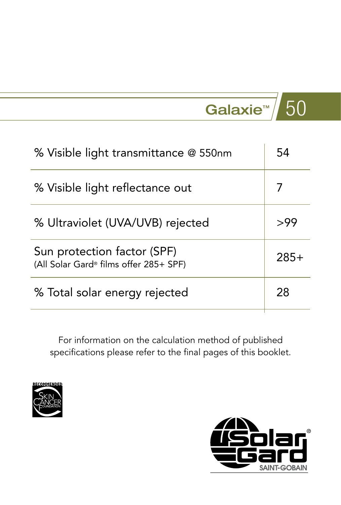| % Visible light transmittance @ 550nm                                             | 54     |
|-----------------------------------------------------------------------------------|--------|
| % Visible light reflectance out                                                   |        |
| % Ultraviolet (UVA/UVB) rejected                                                  | >99    |
| Sun protection factor (SPF)<br>(All Solar Gard <sup>®</sup> films offer 285+ SPF) | $285+$ |
| % Total solar energy rejected                                                     | 28     |



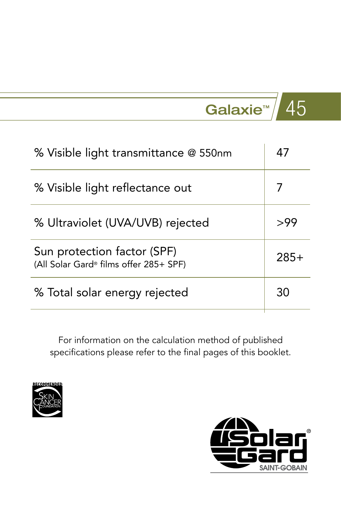| % Visible light transmittance @ 550nm                                             |        |
|-----------------------------------------------------------------------------------|--------|
| % Visible light reflectance out                                                   |        |
| % Ultraviolet (UVA/UVB) rejected                                                  | >99    |
| Sun protection factor (SPF)<br>(All Solar Gard <sup>®</sup> films offer 285+ SPF) | $285+$ |
| % Total solar energy rejected                                                     | 30     |



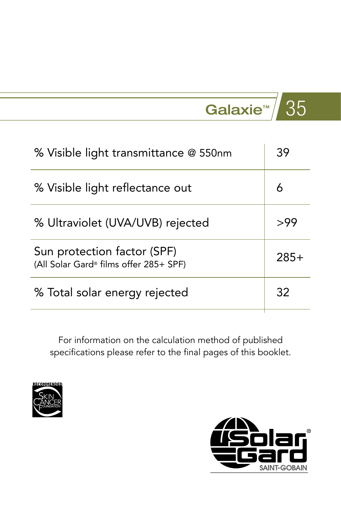| % Visible light transmittance @ 550nm                                             | 39     |
|-----------------------------------------------------------------------------------|--------|
| % Visible light reflectance out                                                   | 6      |
| % Ultraviolet (UVA/UVB) rejected                                                  | >99    |
| Sun protection factor (SPF)<br>(All Solar Gard <sup>®</sup> films offer 285+ SPF) | $285+$ |
| % Total solar energy rejected                                                     | 32     |



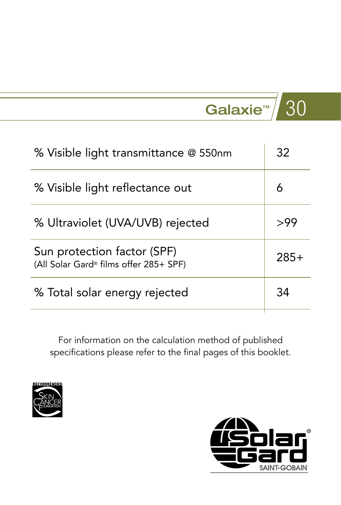| % Visible light transmittance @ 550nm                                             | 32     |
|-----------------------------------------------------------------------------------|--------|
| % Visible light reflectance out                                                   | 6      |
| % Ultraviolet (UVA/UVB) rejected                                                  | >99    |
| Sun protection factor (SPF)<br>(All Solar Gard <sup>®</sup> films offer 285+ SPF) | $285+$ |
| % Total solar energy rejected                                                     | 34     |



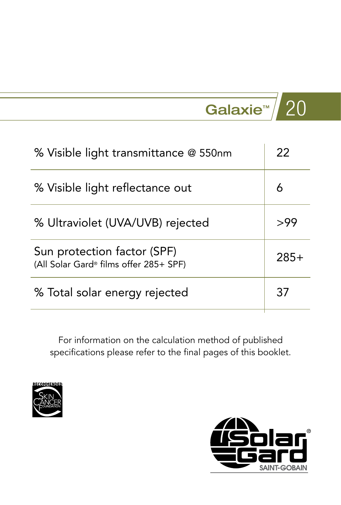| % Visible light transmittance @ 550nm                                             | 22     |
|-----------------------------------------------------------------------------------|--------|
| % Visible light reflectance out                                                   | 6      |
| % Ultraviolet (UVA/UVB) rejected                                                  | >99    |
| Sun protection factor (SPF)<br>(All Solar Gard <sup>®</sup> films offer 285+ SPF) | $285+$ |
| % Total solar energy rejected                                                     | 37     |



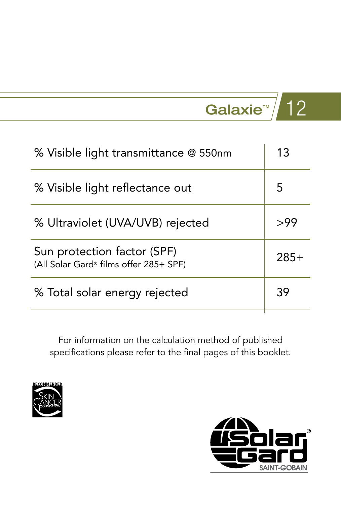| % Visible light transmittance @ 550nm                                             | 13     |
|-----------------------------------------------------------------------------------|--------|
| % Visible light reflectance out                                                   | 5      |
| % Ultraviolet (UVA/UVB) rejected                                                  | >99    |
| Sun protection factor (SPF)<br>(All Solar Gard <sup>®</sup> films offer 285+ SPF) | $285+$ |
| % Total solar energy rejected                                                     | 39     |



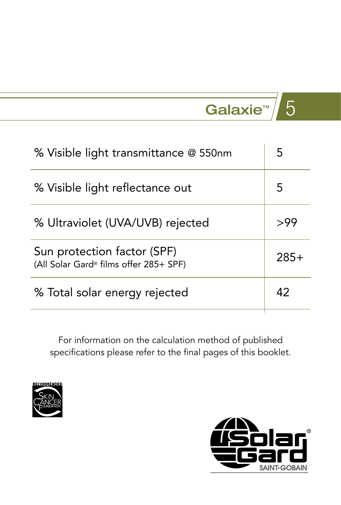## Galaxie™  $\overline{5}$

| % Visible light reflectance out                                       | 5      |
|-----------------------------------------------------------------------|--------|
| % Ultraviolet (UVA/UVB) rejected                                      | >99    |
| Sun protection factor (SPF)<br>(All Solar Gard® films offer 285+ SPF) | $285+$ |
| % Total solar energy rejected                                         | 42     |



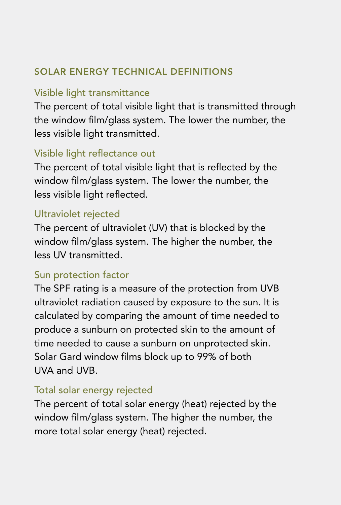### SOLAR ENERGY TECHNICAL DEFINITIONS

#### Visible light transmittance

The percent of total visible light that is transmitted through the window flm/glass system. The lower the number, the less visible light transmitted.

### Visible light refectance out

The percent of total visible light that is reflected by the window film/glass system. The lower the number, the less visible light reflected.

#### Ultraviolet rejected

The percent of ultraviolet (UV) that is blocked by the window flm/glass system. The higher the number, the less UV transmitted.

#### Sun protection factor

The SPF rating is a measure of the protection from UVB ultraviolet radiation caused by exposure to the sun. It is calculated by comparing the amount of time needed to produce a sunburn on protected skin to the amount of time needed to cause a sunburn on unprotected skin. Solar Gard window flms block up to 99% of both UVA and UVB.

#### Total solar energy rejected

The percent of total solar energy (heat) rejected by the window flm/glass system. The higher the number, the more total solar energy (heat) rejected.